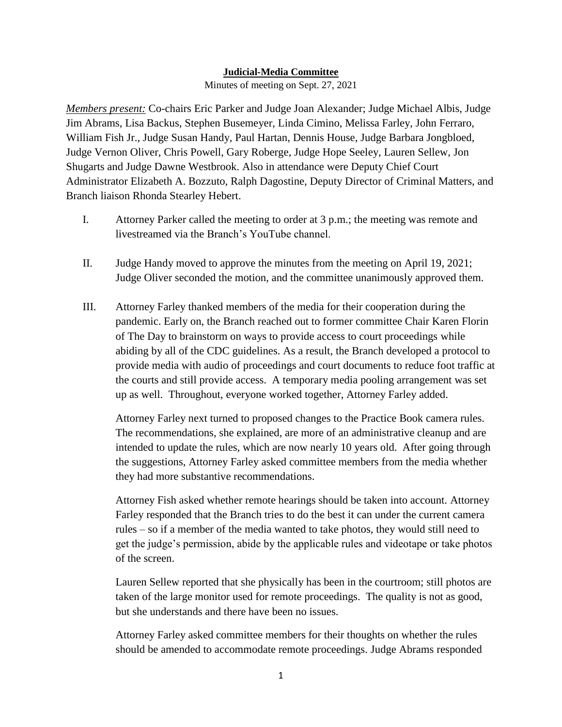## **Judicial-Media Committee**

Minutes of meeting on Sept. 27, 2021

*Members present:* Co-chairs Eric Parker and Judge Joan Alexander; Judge Michael Albis, Judge Jim Abrams, Lisa Backus, Stephen Busemeyer, Linda Cimino, Melissa Farley, John Ferraro, William Fish Jr., Judge Susan Handy, Paul Hartan, Dennis House, Judge Barbara Jongbloed, Judge Vernon Oliver, Chris Powell, Gary Roberge, Judge Hope Seeley, Lauren Sellew, Jon Shugarts and Judge Dawne Westbrook. Also in attendance were Deputy Chief Court Administrator Elizabeth A. Bozzuto, Ralph Dagostine, Deputy Director of Criminal Matters, and Branch liaison Rhonda Stearley Hebert.

- I. Attorney Parker called the meeting to order at 3 p.m.; the meeting was remote and livestreamed via the Branch's YouTube channel.
- II. Judge Handy moved to approve the minutes from the meeting on April 19, 2021; Judge Oliver seconded the motion, and the committee unanimously approved them.
- III. Attorney Farley thanked members of the media for their cooperation during the pandemic. Early on, the Branch reached out to former committee Chair Karen Florin of The Day to brainstorm on ways to provide access to court proceedings while abiding by all of the CDC guidelines. As a result, the Branch developed a protocol to provide media with audio of proceedings and court documents to reduce foot traffic at the courts and still provide access. A temporary media pooling arrangement was set up as well. Throughout, everyone worked together, Attorney Farley added.

Attorney Farley next turned to proposed changes to the Practice Book camera rules. The recommendations, she explained, are more of an administrative cleanup and are intended to update the rules, which are now nearly 10 years old. After going through the suggestions, Attorney Farley asked committee members from the media whether they had more substantive recommendations.

Attorney Fish asked whether remote hearings should be taken into account. Attorney Farley responded that the Branch tries to do the best it can under the current camera rules – so if a member of the media wanted to take photos, they would still need to get the judge's permission, abide by the applicable rules and videotape or take photos of the screen.

Lauren Sellew reported that she physically has been in the courtroom; still photos are taken of the large monitor used for remote proceedings. The quality is not as good, but she understands and there have been no issues.

Attorney Farley asked committee members for their thoughts on whether the rules should be amended to accommodate remote proceedings. Judge Abrams responded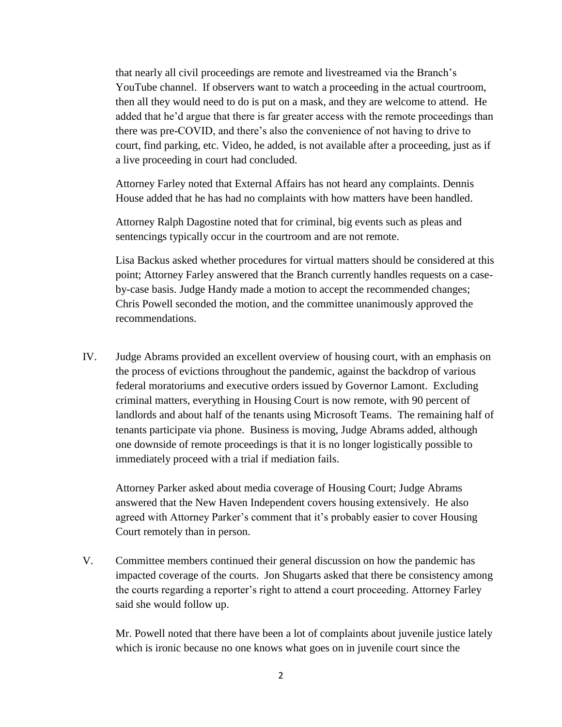that nearly all civil proceedings are remote and livestreamed via the Branch's YouTube channel. If observers want to watch a proceeding in the actual courtroom, then all they would need to do is put on a mask, and they are welcome to attend. He added that he'd argue that there is far greater access with the remote proceedings than there was pre-COVID, and there's also the convenience of not having to drive to court, find parking, etc. Video, he added, is not available after a proceeding, just as if a live proceeding in court had concluded.

Attorney Farley noted that External Affairs has not heard any complaints. Dennis House added that he has had no complaints with how matters have been handled.

Attorney Ralph Dagostine noted that for criminal, big events such as pleas and sentencings typically occur in the courtroom and are not remote.

Lisa Backus asked whether procedures for virtual matters should be considered at this point; Attorney Farley answered that the Branch currently handles requests on a caseby-case basis. Judge Handy made a motion to accept the recommended changes; Chris Powell seconded the motion, and the committee unanimously approved the recommendations.

IV. Judge Abrams provided an excellent overview of housing court, with an emphasis on the process of evictions throughout the pandemic, against the backdrop of various federal moratoriums and executive orders issued by Governor Lamont. Excluding criminal matters, everything in Housing Court is now remote, with 90 percent of landlords and about half of the tenants using Microsoft Teams. The remaining half of tenants participate via phone. Business is moving, Judge Abrams added, although one downside of remote proceedings is that it is no longer logistically possible to immediately proceed with a trial if mediation fails.

Attorney Parker asked about media coverage of Housing Court; Judge Abrams answered that the New Haven Independent covers housing extensively. He also agreed with Attorney Parker's comment that it's probably easier to cover Housing Court remotely than in person.

V. Committee members continued their general discussion on how the pandemic has impacted coverage of the courts. Jon Shugarts asked that there be consistency among the courts regarding a reporter's right to attend a court proceeding. Attorney Farley said she would follow up.

Mr. Powell noted that there have been a lot of complaints about juvenile justice lately which is ironic because no one knows what goes on in juvenile court since the